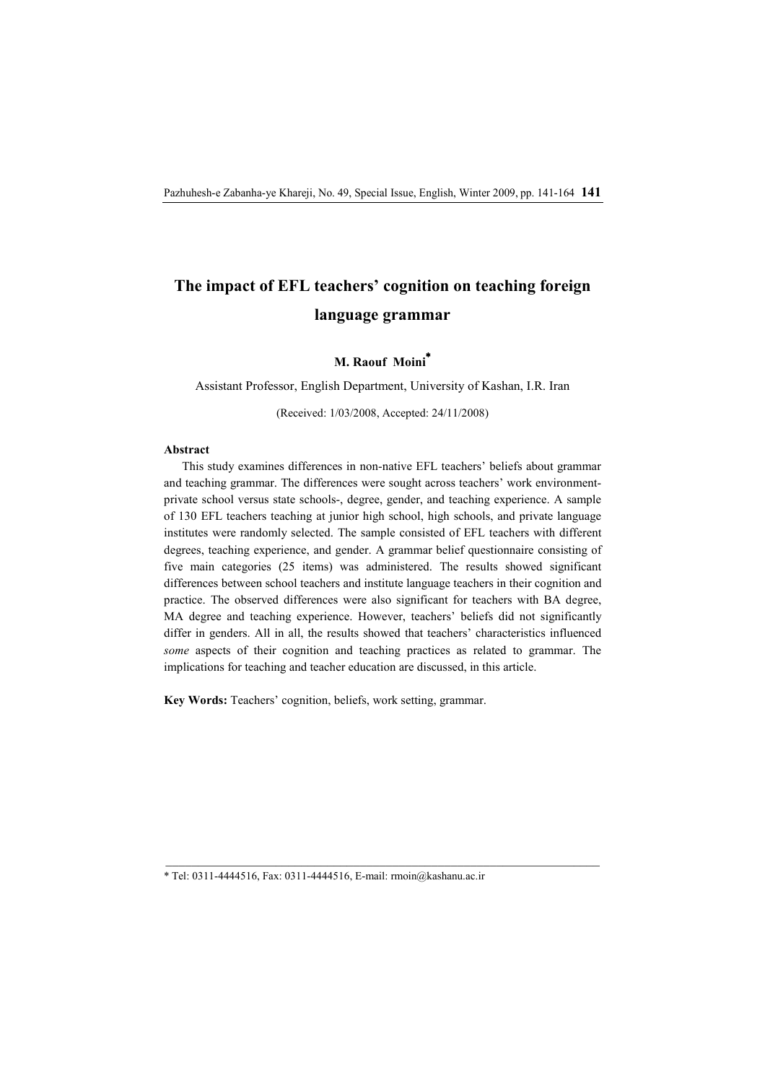# **The impact of EFL teachers' cognition on teaching foreign language grammar**

# **M. Raouf Moini\***

Assistant Professor, English Department, University of Kashan, I.R. Iran

(Received: 1/03/2008, Accepted: 24/11/2008)

# **Abstract**

This study examines differences in non-native EFL teachers' beliefs about grammar and teaching grammar. The differences were sought across teachers' work environmentprivate school versus state schools-, degree, gender, and teaching experience. A sample of 130 EFL teachers teaching at junior high school, high schools, and private language institutes were randomly selected. The sample consisted of EFL teachers with different degrees, teaching experience, and gender. A grammar belief questionnaire consisting of five main categories (25 items) was administered. The results showed significant differences between school teachers and institute language teachers in their cognition and practice. The observed differences were also significant for teachers with BA degree, MA degree and teaching experience. However, teachers' beliefs did not significantly differ in genders. All in all, the results showed that teachers' characteristics influenced *some* aspects of their cognition and teaching practices as related to grammar. The implications for teaching and teacher education are discussed, in this article.

**Key Words:** Teachers' cognition, beliefs, work setting, grammar.

\* Tel: 0311-4444516, Fax: 0311-4444516, E-mail: rmoin@kashanu.ac.ir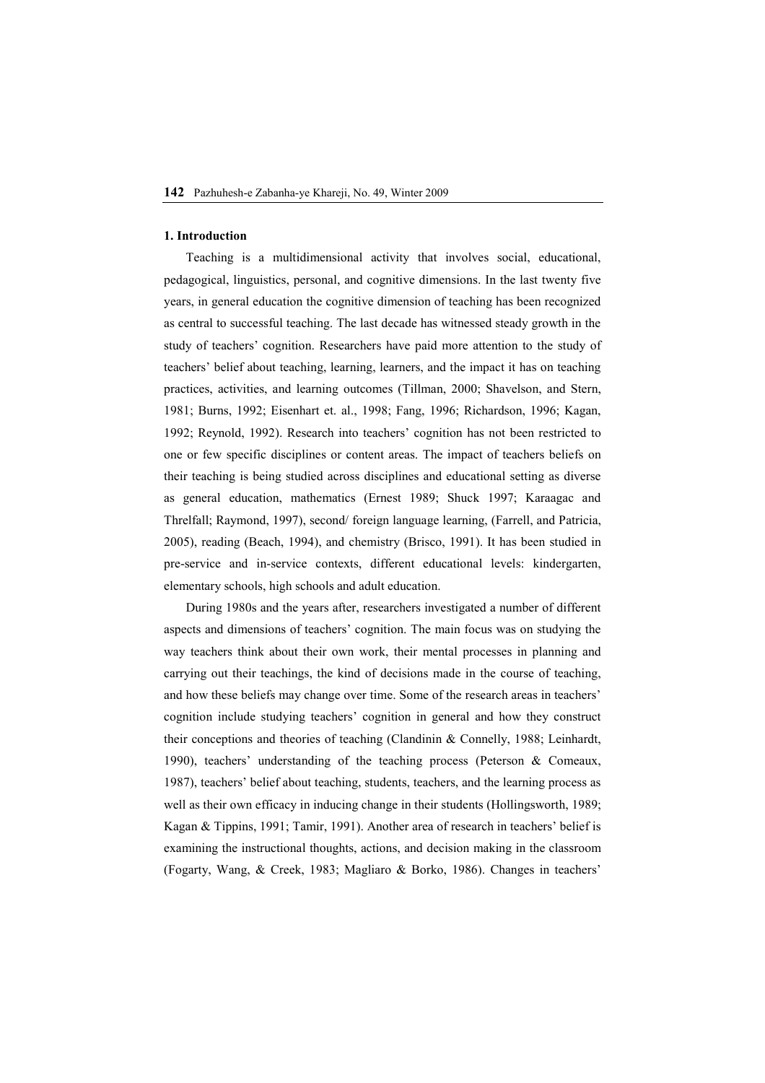#### **1. Introduction**

Teaching is a multidimensional activity that involves social, educational, pedagogical, linguistics, personal, and cognitive dimensions. In the last twenty five years, in general education the cognitive dimension of teaching has been recognized as central to successful teaching. The last decade has witnessed steady growth in the study of teachers' cognition. Researchers have paid more attention to the study of teachers' belief about teaching, learning, learners, and the impact it has on teaching practices, activities, and learning outcomes (Tillman, 2000; Shavelson, and Stern, 1981; Burns, 1992; Eisenhart et. al., 1998; Fang, 1996; Richardson, 1996; Kagan, 1992; Reynold, 1992). Research into teachers' cognition has not been restricted to one or few specific disciplines or content areas. The impact of teachers beliefs on their teaching is being studied across disciplines and educational setting as diverse as general education, mathematics (Ernest 1989; Shuck 1997; Karaagac and Threlfall; Raymond, 1997), second/ foreign language learning, (Farrell, and Patricia, 2005), reading (Beach, 1994), and chemistry (Brisco, 1991). It has been studied in pre-service and in-service contexts, different educational levels: kindergarten, elementary schools, high schools and adult education.

During 1980s and the years after, researchers investigated a number of different aspects and dimensions of teachers' cognition. The main focus was on studying the way teachers think about their own work, their mental processes in planning and carrying out their teachings, the kind of decisions made in the course of teaching, and how these beliefs may change over time. Some of the research areas in teachers' cognition include studying teachers' cognition in general and how they construct their conceptions and theories of teaching (Clandinin & Connelly, 1988; Leinhardt, 1990), teachers' understanding of the teaching process (Peterson & Comeaux, 1987), teachers' belief about teaching, students, teachers, and the learning process as well as their own efficacy in inducing change in their students (Hollingsworth, 1989; Kagan & Tippins, 1991; Tamir, 1991). Another area of research in teachers' belief is examining the instructional thoughts, actions, and decision making in the classroom (Fogarty, Wang, & Creek, 1983; Magliaro & Borko, 1986). Changes in teachers'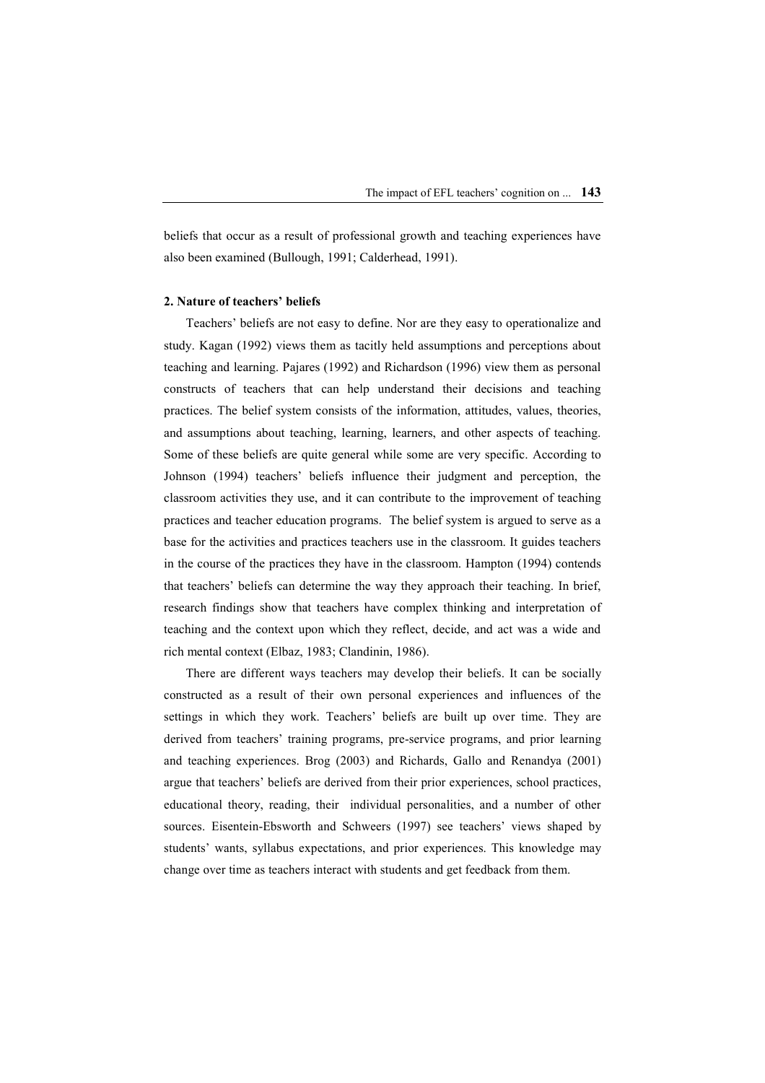beliefs that occur as a result of professional growth and teaching experiences have also been examined (Bullough, 1991; Calderhead, 1991).

## **2. Nature of teachers' beliefs**

Teachers' beliefs are not easy to define. Nor are they easy to operationalize and study. Kagan (1992) views them as tacitly held assumptions and perceptions about teaching and learning. Pajares (1992) and Richardson (1996) view them as personal constructs of teachers that can help understand their decisions and teaching practices. The belief system consists of the information, attitudes, values, theories, and assumptions about teaching, learning, learners, and other aspects of teaching. Some of these beliefs are quite general while some are very specific. According to Johnson (1994) teachers' beliefs influence their judgment and perception, the classroom activities they use, and it can contribute to the improvement of teaching practices and teacher education programs. The belief system is argued to serve as a base for the activities and practices teachers use in the classroom. It guides teachers in the course of the practices they have in the classroom. Hampton (1994) contends that teachers' beliefs can determine the way they approach their teaching. In brief, research findings show that teachers have complex thinking and interpretation of teaching and the context upon which they reflect, decide, and act was a wide and rich mental context (Elbaz, 1983; Clandinin, 1986).

There are different ways teachers may develop their beliefs. It can be socially constructed as a result of their own personal experiences and influences of the settings in which they work. Teachers' beliefs are built up over time. They are derived from teachers' training programs, pre-service programs, and prior learning and teaching experiences. Brog (2003) and Richards, Gallo and Renandya (2001) argue that teachers' beliefs are derived from their prior experiences, school practices, educational theory, reading, their individual personalities, and a number of other sources. Eisentein-Ebsworth and Schweers (1997) see teachers' views shaped by students' wants, syllabus expectations, and prior experiences. This knowledge may change over time as teachers interact with students and get feedback from them.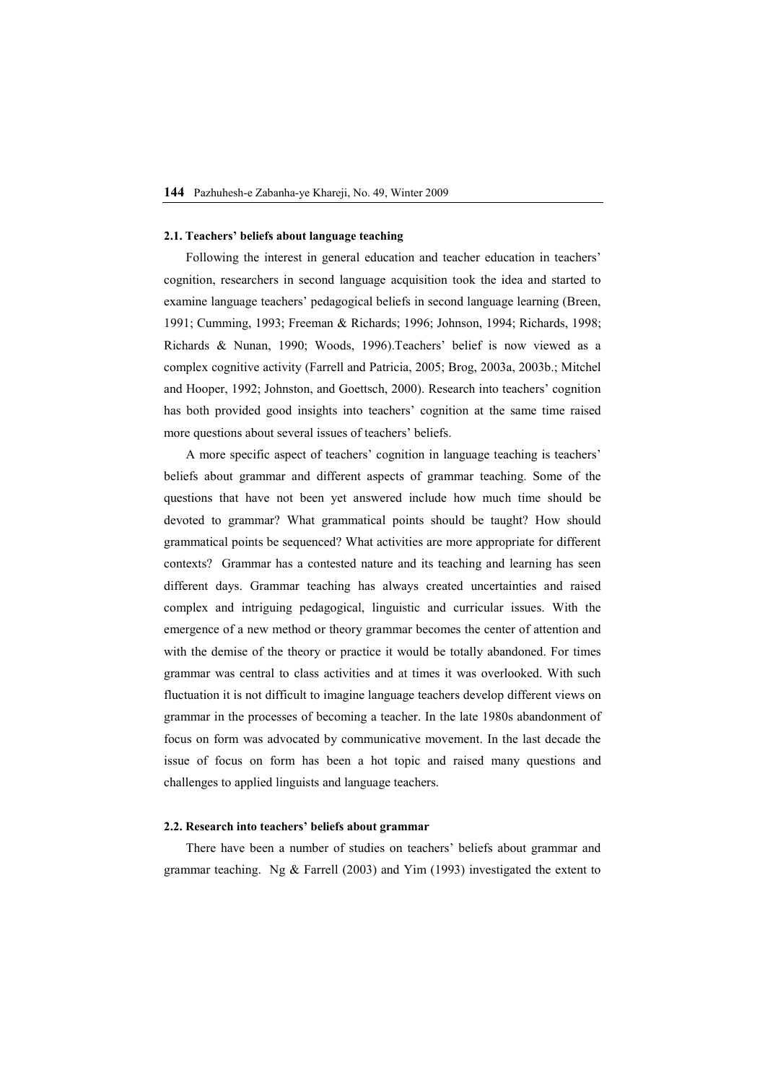#### **2.1. Teachers' beliefs about language teaching**

Following the interest in general education and teacher education in teachers' cognition, researchers in second language acquisition took the idea and started to examine language teachers' pedagogical beliefs in second language learning (Breen, 1991; Cumming, 1993; Freeman & Richards; 1996; Johnson, 1994; Richards, 1998; Richards & Nunan, 1990; Woods, 1996).Teachers' belief is now viewed as a complex cognitive activity (Farrell and Patricia, 2005; Brog, 2003a, 2003b.; Mitchel and Hooper, 1992; Johnston, and Goettsch, 2000). Research into teachers' cognition has both provided good insights into teachers' cognition at the same time raised more questions about several issues of teachers' beliefs.

A more specific aspect of teachers' cognition in language teaching is teachers' beliefs about grammar and different aspects of grammar teaching. Some of the questions that have not been yet answered include how much time should be devoted to grammar? What grammatical points should be taught? How should grammatical points be sequenced? What activities are more appropriate for different contexts? Grammar has a contested nature and its teaching and learning has seen different days. Grammar teaching has always created uncertainties and raised complex and intriguing pedagogical, linguistic and curricular issues. With the emergence of a new method or theory grammar becomes the center of attention and with the demise of the theory or practice it would be totally abandoned. For times grammar was central to class activities and at times it was overlooked. With such fluctuation it is not difficult to imagine language teachers develop different views on grammar in the processes of becoming a teacher. In the late 1980s abandonment of focus on form was advocated by communicative movement. In the last decade the issue of focus on form has been a hot topic and raised many questions and challenges to applied linguists and language teachers.

#### **2.2. Research into teachers' beliefs about grammar**

There have been a number of studies on teachers' beliefs about grammar and grammar teaching. Ng & Farrell (2003) and Yim (1993) investigated the extent to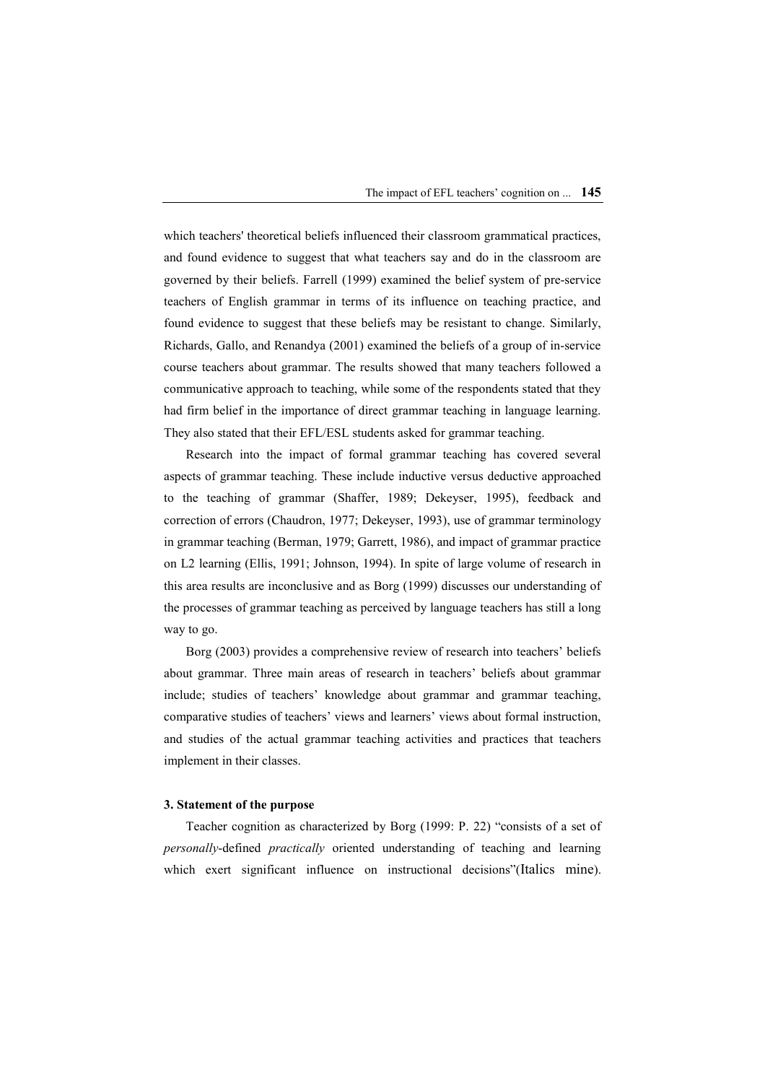which teachers' theoretical beliefs influenced their classroom grammatical practices, and found evidence to suggest that what teachers say and do in the classroom are governed by their beliefs. Farrell (1999) examined the belief system of pre-service teachers of English grammar in terms of its influence on teaching practice, and found evidence to suggest that these beliefs may be resistant to change. Similarly, Richards, Gallo, and Renandya (2001) examined the beliefs of a group of in-service course teachers about grammar. The results showed that many teachers followed a communicative approach to teaching, while some of the respondents stated that they had firm belief in the importance of direct grammar teaching in language learning. They also stated that their EFL/ESL students asked for grammar teaching.

Research into the impact of formal grammar teaching has covered several aspects of grammar teaching. These include inductive versus deductive approached to the teaching of grammar (Shaffer, 1989; Dekeyser, 1995), feedback and correction of errors (Chaudron, 1977; Dekeyser, 1993), use of grammar terminology in grammar teaching (Berman, 1979; Garrett, 1986), and impact of grammar practice on L2 learning (Ellis, 1991; Johnson, 1994). In spite of large volume of research in this area results are inconclusive and as Borg (1999) discusses our understanding of the processes of grammar teaching as perceived by language teachers has still a long way to go.

Borg (2003) provides a comprehensive review of research into teachers' beliefs about grammar. Three main areas of research in teachers' beliefs about grammar include; studies of teachers' knowledge about grammar and grammar teaching, comparative studies of teachers' views and learners' views about formal instruction, and studies of the actual grammar teaching activities and practices that teachers implement in their classes.

#### **3. Statement of the purpose**

Teacher cognition as characterized by Borg (1999: P. 22) "consists of a set of *personally*-defined *practically* oriented understanding of teaching and learning which exert significant influence on instructional decisions" (Italics mine).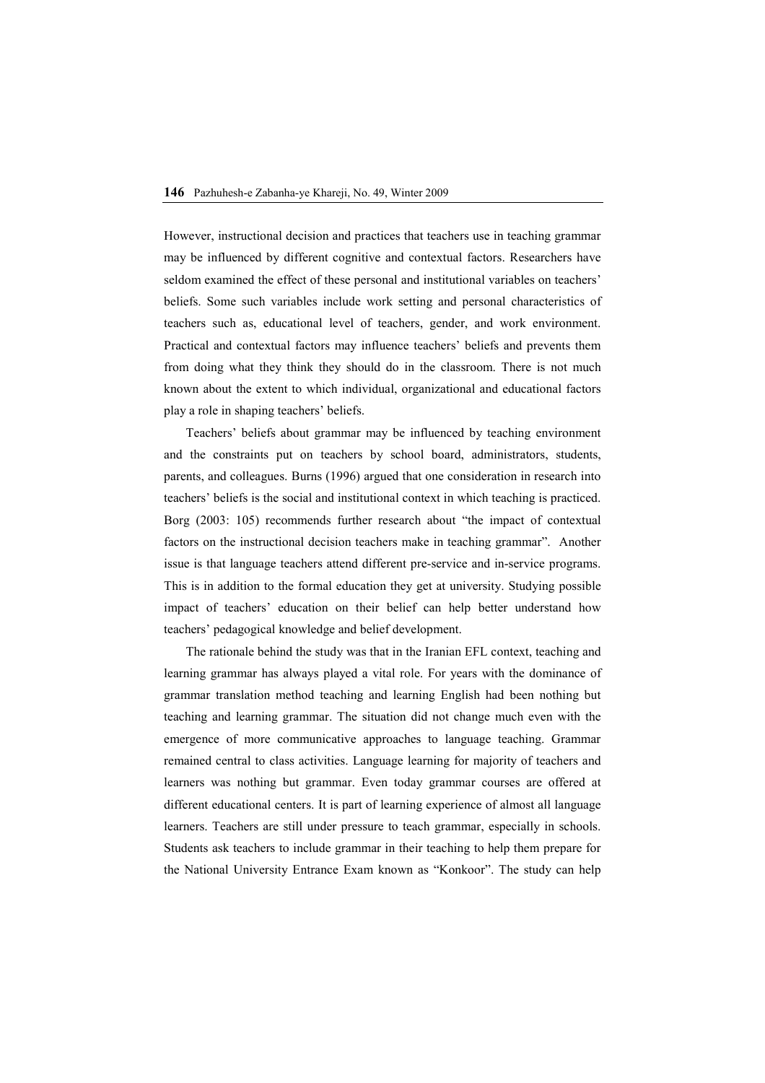However, instructional decision and practices that teachers use in teaching grammar may be influenced by different cognitive and contextual factors. Researchers have seldom examined the effect of these personal and institutional variables on teachers' beliefs. Some such variables include work setting and personal characteristics of teachers such as, educational level of teachers, gender, and work environment. Practical and contextual factors may influence teachers' beliefs and prevents them from doing what they think they should do in the classroom. There is not much known about the extent to which individual, organizational and educational factors play a role in shaping teachers' beliefs.

Teachers' beliefs about grammar may be influenced by teaching environment and the constraints put on teachers by school board, administrators, students, parents, and colleagues. Burns (1996) argued that one consideration in research into teachers' beliefs is the social and institutional context in which teaching is practiced. Borg (2003: 105) recommends further research about "the impact of contextual factors on the instructional decision teachers make in teaching grammar". Another issue is that language teachers attend different pre-service and in-service programs. This is in addition to the formal education they get at university. Studying possible impact of teachers' education on their belief can help better understand how teachers' pedagogical knowledge and belief development.

The rationale behind the study was that in the Iranian EFL context, teaching and learning grammar has always played a vital role. For years with the dominance of grammar translation method teaching and learning English had been nothing but teaching and learning grammar. The situation did not change much even with the emergence of more communicative approaches to language teaching. Grammar remained central to class activities. Language learning for majority of teachers and learners was nothing but grammar. Even today grammar courses are offered at different educational centers. It is part of learning experience of almost all language learners. Teachers are still under pressure to teach grammar, especially in schools. Students ask teachers to include grammar in their teaching to help them prepare for the National University Entrance Exam known as "Konkoor". The study can help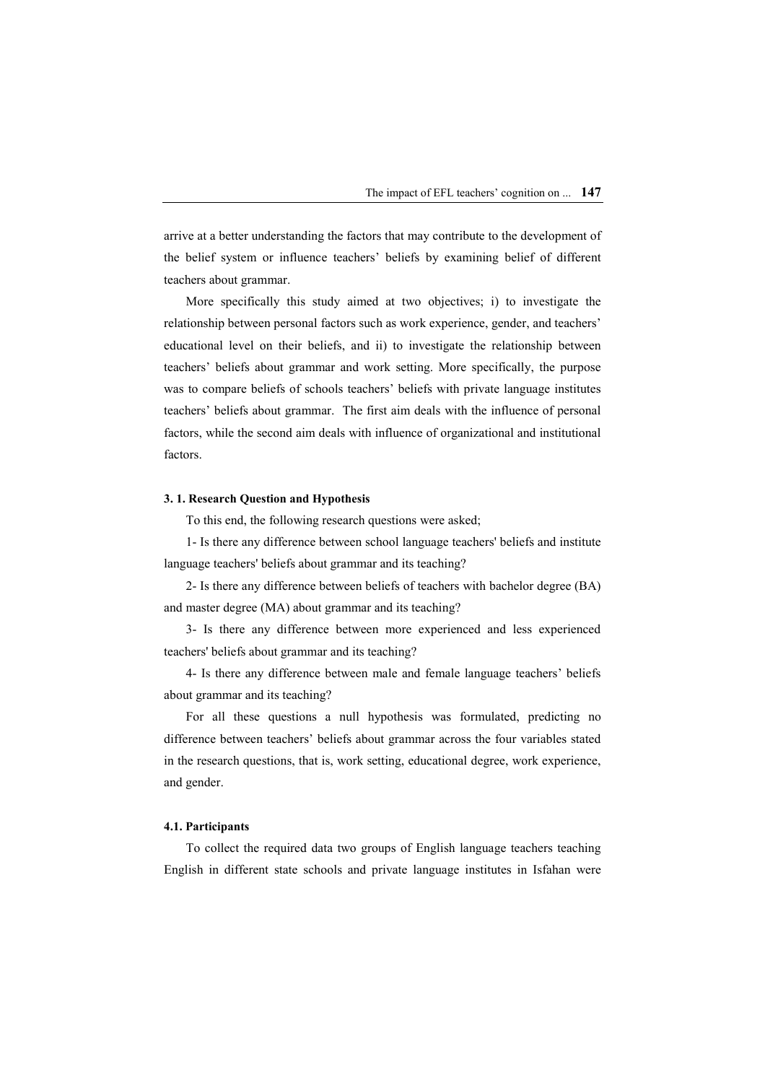arrive at a better understanding the factors that may contribute to the development of the belief system or influence teachers' beliefs by examining belief of different teachers about grammar.

More specifically this study aimed at two objectives; i) to investigate the relationship between personal factors such as work experience, gender, and teachers' educational level on their beliefs, and ii) to investigate the relationship between teachers' beliefs about grammar and work setting. More specifically, the purpose was to compare beliefs of schools teachers' beliefs with private language institutes teachers' beliefs about grammar. The first aim deals with the influence of personal factors, while the second aim deals with influence of organizational and institutional factors.

### **3. 1. Research Question and Hypothesis**

To this end, the following research questions were asked;

1- Is there any difference between school language teachers' beliefs and institute language teachers' beliefs about grammar and its teaching?

2- Is there any difference between beliefs of teachers with bachelor degree (BA) and master degree (MA) about grammar and its teaching?

3- Is there any difference between more experienced and less experienced teachers' beliefs about grammar and its teaching?

4- Is there any difference between male and female language teachers' beliefs about grammar and its teaching?

For all these questions a null hypothesis was formulated, predicting no difference between teachers' beliefs about grammar across the four variables stated in the research questions, that is, work setting, educational degree, work experience, and gender.

#### **4.1. Participants**

To collect the required data two groups of English language teachers teaching English in different state schools and private language institutes in Isfahan were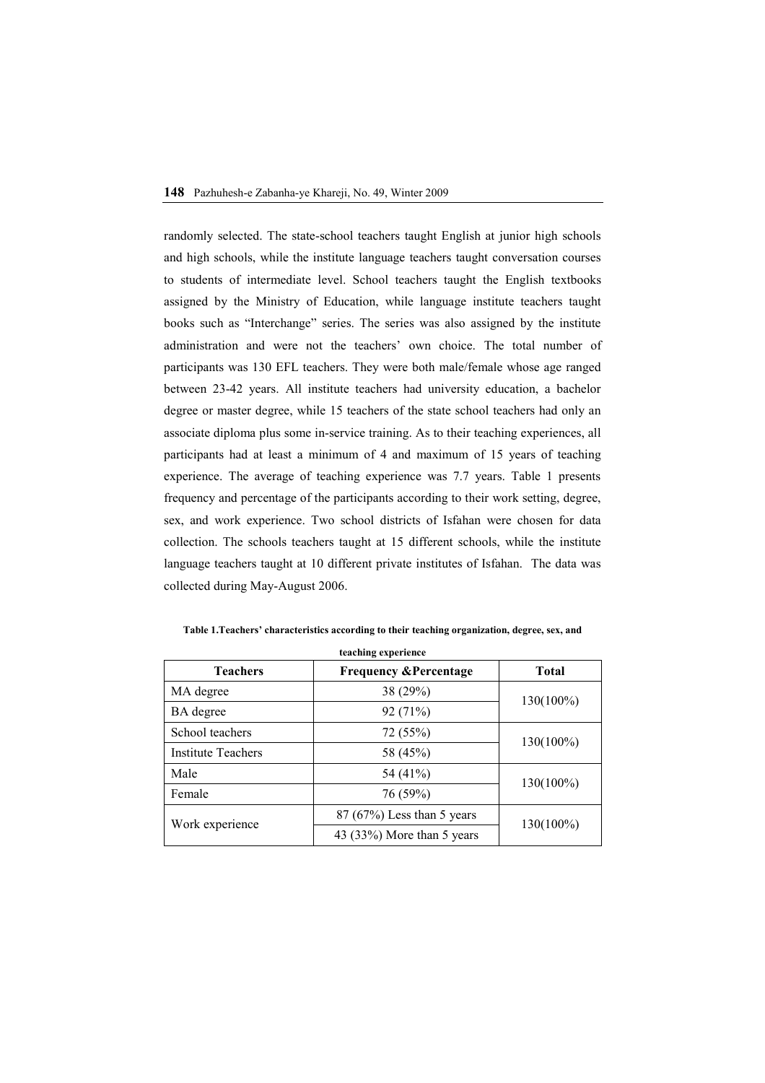randomly selected. The state-school teachers taught English at junior high schools and high schools, while the institute language teachers taught conversation courses to students of intermediate level. School teachers taught the English textbooks assigned by the Ministry of Education, while language institute teachers taught books such as "Interchange" series. The series was also assigned by the institute administration and were not the teachers' own choice. The total number of participants was 130 EFL teachers. They were both male/female whose age ranged between 23-42 years. All institute teachers had university education, a bachelor degree or master degree, while 15 teachers of the state school teachers had only an associate diploma plus some in-service training. As to their teaching experiences, all participants had at least a minimum of 4 and maximum of 15 years of teaching experience. The average of teaching experience was 7.7 years. Table 1 presents frequency and percentage of the participants according to their work setting, degree, sex, and work experience. Two school districts of Isfahan were chosen for data collection. The schools teachers taught at 15 different schools, while the institute language teachers taught at 10 different private institutes of Isfahan. The data was collected during May-August 2006.

| teaching experience       |                                  |              |  |  |  |  |  |
|---------------------------|----------------------------------|--------------|--|--|--|--|--|
| <b>Teachers</b>           | <b>Frequency &amp;Percentage</b> | <b>Total</b> |  |  |  |  |  |
| MA degree                 | 38 (29%)                         |              |  |  |  |  |  |
| BA degree                 | 92(71%)                          | 130(100%)    |  |  |  |  |  |
| School teachers           | 72 (55%)                         |              |  |  |  |  |  |
| <b>Institute Teachers</b> | 58 (45%)                         | 130(100%)    |  |  |  |  |  |
| Male                      | 54 (41%)                         |              |  |  |  |  |  |
| Female                    | 76 (59%)                         | 130(100%)    |  |  |  |  |  |
|                           | $87(67%)$ Less than 5 years      |              |  |  |  |  |  |
| Work experience           | 43 (33%) More than 5 years       | 130(100%)    |  |  |  |  |  |

**Table 1.Teachers' characteristics according to their teaching organization, degree, sex, and**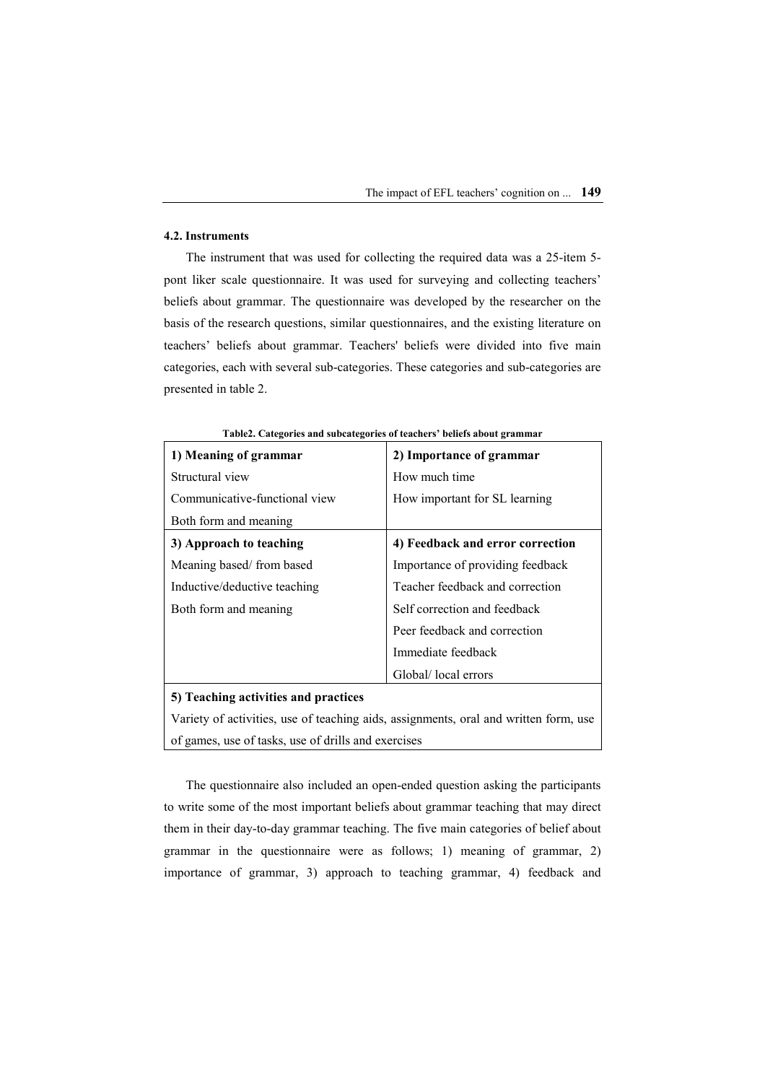# **4.2. Instruments**

The instrument that was used for collecting the required data was a 25-item 5 pont liker scale questionnaire. It was used for surveying and collecting teachers' beliefs about grammar. The questionnaire was developed by the researcher on the basis of the research questions, similar questionnaires, and the existing literature on teachers' beliefs about grammar. Teachers' beliefs were divided into five main categories, each with several sub-categories. These categories and sub-categories are presented in table 2.

| 1) Meaning of grammar                                                                | 2) Importance of grammar         |
|--------------------------------------------------------------------------------------|----------------------------------|
| Structural view                                                                      | How much time                    |
| Communicative-functional view                                                        | How important for SL learning    |
| Both form and meaning                                                                |                                  |
| 3) Approach to teaching                                                              | 4) Feedback and error correction |
| Meaning based/from based                                                             | Importance of providing feedback |
| Inductive/deductive teaching                                                         | Teacher feedback and correction  |
| Both form and meaning                                                                | Self correction and feedback     |
|                                                                                      | Peer feedback and correction     |
|                                                                                      | Immediate feedback               |
|                                                                                      | Global/ local errors             |
| 5) Teaching activities and practices                                                 |                                  |
| Variety of activities, use of teaching aids, assignments, oral and written form, use |                                  |

**Table2. Categories and subcategories of teachers' beliefs about grammar** 

of games, use of tasks, use of drills and exercises

The questionnaire also included an open-ended question asking the participants to write some of the most important beliefs about grammar teaching that may direct them in their day-to-day grammar teaching. The five main categories of belief about grammar in the questionnaire were as follows; 1) meaning of grammar, 2) importance of grammar, 3) approach to teaching grammar, 4) feedback and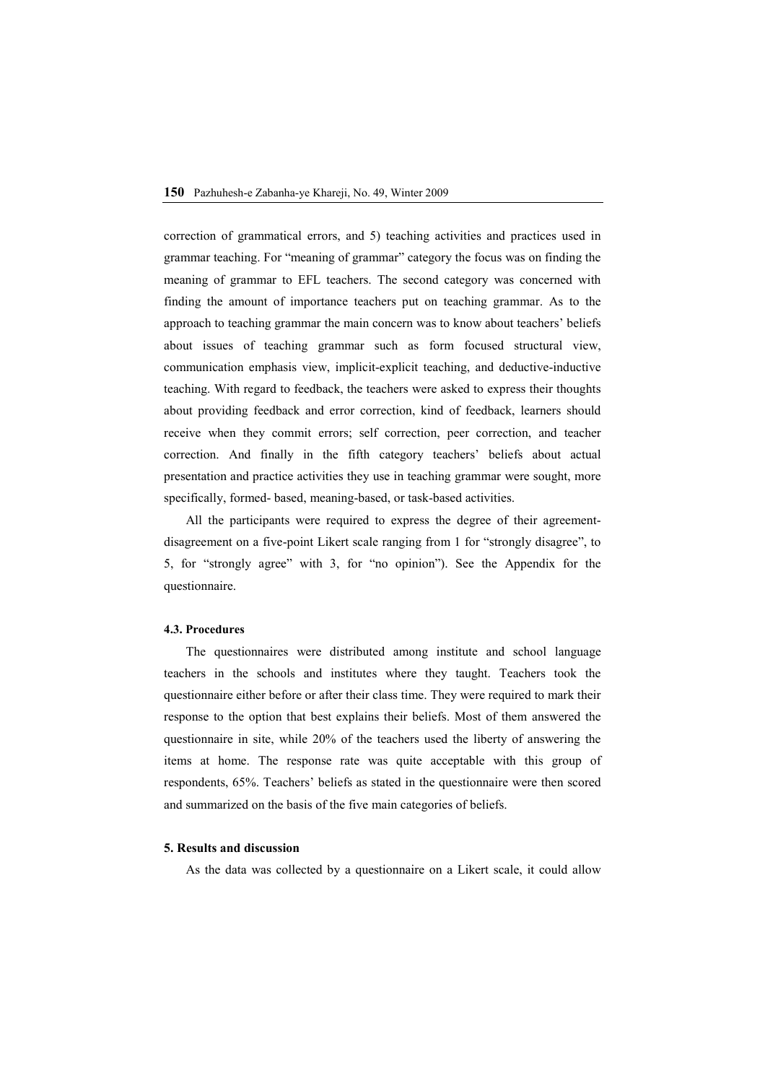correction of grammatical errors, and 5) teaching activities and practices used in grammar teaching. For "meaning of grammar" category the focus was on finding the meaning of grammar to EFL teachers. The second category was concerned with finding the amount of importance teachers put on teaching grammar. As to the approach to teaching grammar the main concern was to know about teachers' beliefs about issues of teaching grammar such as form focused structural view, communication emphasis view, implicit-explicit teaching, and deductive-inductive teaching. With regard to feedback, the teachers were asked to express their thoughts about providing feedback and error correction, kind of feedback, learners should receive when they commit errors; self correction, peer correction, and teacher correction. And finally in the fifth category teachers' beliefs about actual presentation and practice activities they use in teaching grammar were sought, more specifically, formed- based, meaning-based, or task-based activities.

All the participants were required to express the degree of their agreementdisagreement on a five-point Likert scale ranging from 1 for "strongly disagree", to 5, for "strongly agree" with 3, for "no opinion"). See the Appendix for the questionnaire.

### **4.3. Procedures**

The questionnaires were distributed among institute and school language teachers in the schools and institutes where they taught. Teachers took the questionnaire either before or after their class time. They were required to mark their response to the option that best explains their beliefs. Most of them answered the questionnaire in site, while 20% of the teachers used the liberty of answering the items at home. The response rate was quite acceptable with this group of respondents, 65%. Teachers' beliefs as stated in the questionnaire were then scored and summarized on the basis of the five main categories of beliefs.

#### **5. Results and discussion**

As the data was collected by a questionnaire on a Likert scale, it could allow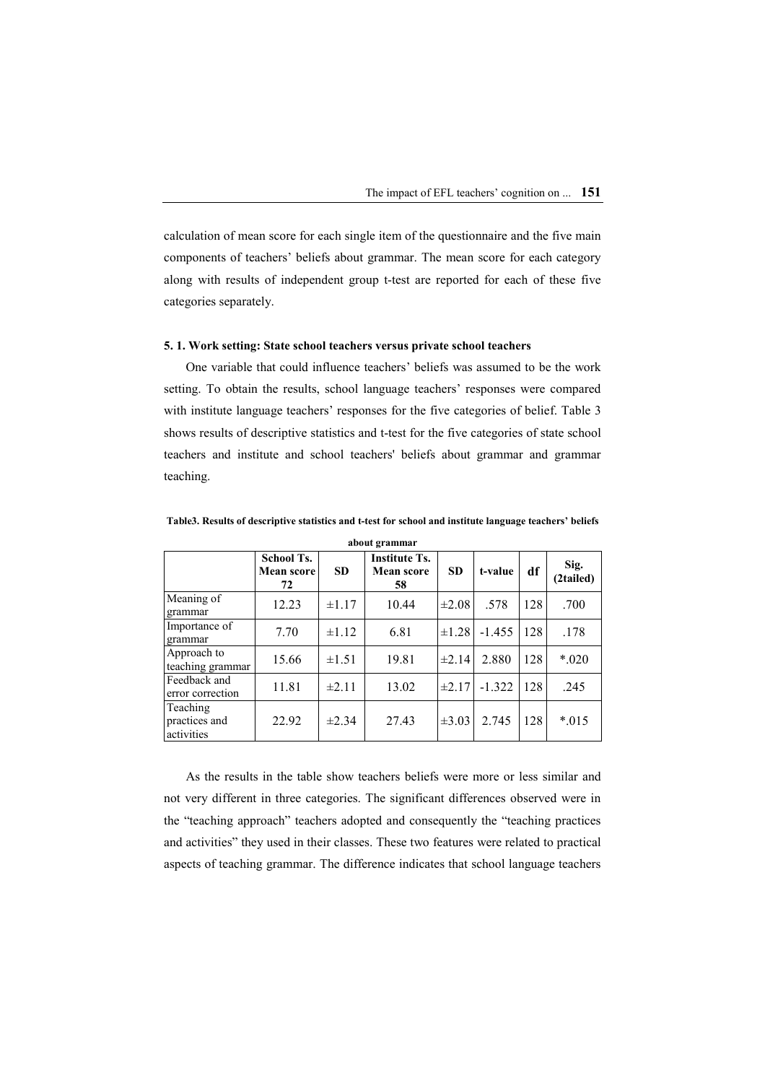calculation of mean score for each single item of the questionnaire and the five main components of teachers' beliefs about grammar. The mean score for each category along with results of independent group t-test are reported for each of these five categories separately.

# **5. 1. Work setting: State school teachers versus private school teachers**

One variable that could influence teachers' beliefs was assumed to be the work setting. To obtain the results, school language teachers' responses were compared with institute language teachers' responses for the five categories of belief. Table 3 shows results of descriptive statistics and t-test for the five categories of state school teachers and institute and school teachers' beliefs about grammar and grammar teaching.

| about grammar                             |                                              |            |                                          |            |          |     |                   |  |
|-------------------------------------------|----------------------------------------------|------------|------------------------------------------|------------|----------|-----|-------------------|--|
|                                           | <b>School Ts.</b><br><b>Mean score</b><br>72 | <b>SD</b>  | <b>Institute Ts.</b><br>Mean score<br>58 | <b>SD</b>  | t-value  | df  | Sig.<br>(2tailed) |  |
| $\overline{\text{Meaning}}$ of<br>grammar | 12.23                                        | $\pm 1.17$ | 10.44                                    | $\pm 2.08$ | .578     | 128 | .700              |  |
| Importance of<br>grammar                  | 7.70                                         | $\pm 1.12$ | 6.81                                     | $\pm 1.28$ | $-1.455$ | 128 | .178              |  |
| Approach to<br>teaching grammar           | 15.66                                        | $\pm 1.51$ | 19.81                                    | $\pm 2.14$ | 2.880    | 128 | $*020$            |  |
| Feedback and<br>error correction          | 11.81                                        | $\pm 2.11$ | 13.02                                    | $\pm 2.17$ | $-1.322$ | 128 | .245              |  |
| Teaching<br>practices and<br>activities   | 22.92                                        | $\pm 2.34$ | 27.43                                    | $\pm 3.03$ | 2.745    | 128 | $*015$            |  |

**Table3. Results of descriptive statistics and t-test for school and institute language teachers' beliefs** 

As the results in the table show teachers beliefs were more or less similar and not very different in three categories. The significant differences observed were in the "teaching approach" teachers adopted and consequently the "teaching practices and activities" they used in their classes. These two features were related to practical aspects of teaching grammar. The difference indicates that school language teachers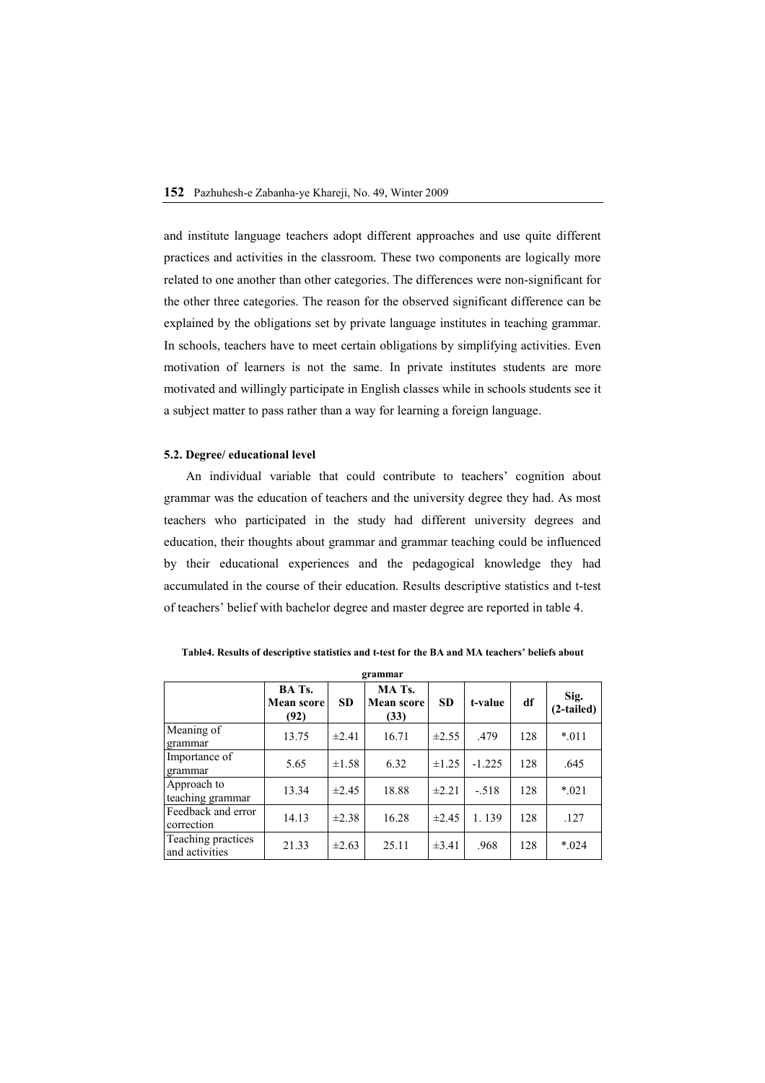and institute language teachers adopt different approaches and use quite different practices and activities in the classroom. These two components are logically more related to one another than other categories. The differences were non-significant for the other three categories. The reason for the observed significant difference can be explained by the obligations set by private language institutes in teaching grammar. In schools, teachers have to meet certain obligations by simplifying activities. Even motivation of learners is not the same. In private institutes students are more motivated and willingly participate in English classes while in schools students see it a subject matter to pass rather than a way for learning a foreign language.

#### **5.2. Degree/ educational level**

An individual variable that could contribute to teachers' cognition about grammar was the education of teachers and the university degree they had. As most teachers who participated in the study had different university degrees and education, their thoughts about grammar and grammar teaching could be influenced by their educational experiences and the pedagogical knowledge they had accumulated in the course of their education. Results descriptive statistics and t-test of teachers' belief with bachelor degree and master degree are reported in table 4.

| grammar                              |                                     |            |                                     |            |          |     |                      |  |  |
|--------------------------------------|-------------------------------------|------------|-------------------------------------|------------|----------|-----|----------------------|--|--|
|                                      | BA Ts.<br><b>Mean score</b><br>(92) | <b>SD</b>  | MA Ts.<br><b>Mean score</b><br>(33) | <b>SD</b>  | t-value  | df  | Sig.<br>$(2-tailed)$ |  |  |
| Meaning of<br>grammar                | 13.75                               | $\pm 2.41$ | 16.71                               | $\pm 2.55$ | .479     | 128 | $*011$               |  |  |
| Importance of<br>grammar             | 5.65                                | $\pm 1.58$ | 6.32                                | ±1.25      | $-1.225$ | 128 | .645                 |  |  |
| Approach to<br>teaching grammar      | 13.34                               | ±2.45      | 18.88                               | $\pm 2.21$ | $-.518$  | 128 | $*021$               |  |  |
| Feedback and error<br>correction     | 14.13                               | $\pm 2.38$ | 16.28                               | $\pm 2.45$ | 1.139    | 128 | .127                 |  |  |
| Teaching practices<br>and activities | 21.33                               | $\pm 2.63$ | 25.11                               | $\pm 3.41$ | .968     | 128 | $*024$               |  |  |

**Table4. Results of descriptive statistics and t-test for the BA and MA teachers' beliefs about**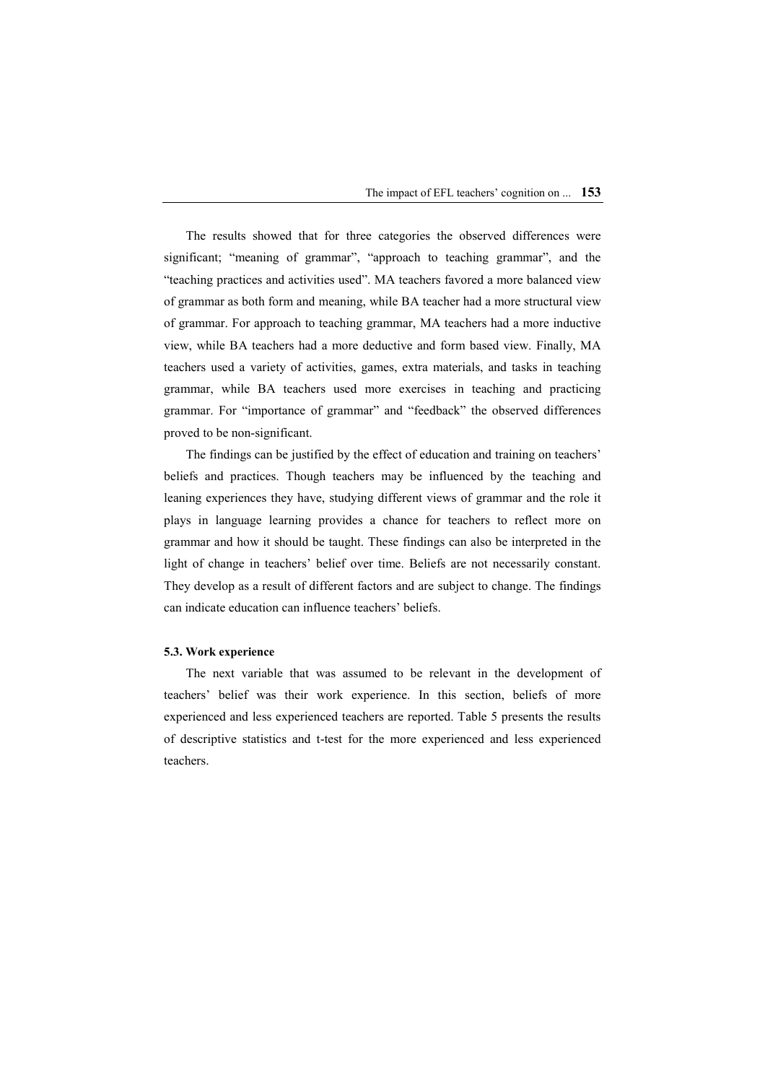The results showed that for three categories the observed differences were significant; "meaning of grammar", "approach to teaching grammar", and the "teaching practices and activities used". MA teachers favored a more balanced view of grammar as both form and meaning, while BA teacher had a more structural view of grammar. For approach to teaching grammar, MA teachers had a more inductive view, while BA teachers had a more deductive and form based view. Finally, MA teachers used a variety of activities, games, extra materials, and tasks in teaching grammar, while BA teachers used more exercises in teaching and practicing grammar. For "importance of grammar" and "feedback" the observed differences proved to be non-significant.

The findings can be justified by the effect of education and training on teachers' beliefs and practices. Though teachers may be influenced by the teaching and leaning experiences they have, studying different views of grammar and the role it plays in language learning provides a chance for teachers to reflect more on grammar and how it should be taught. These findings can also be interpreted in the light of change in teachers' belief over time. Beliefs are not necessarily constant. They develop as a result of different factors and are subject to change. The findings can indicate education can influence teachers' beliefs.

#### **5.3. Work experience**

The next variable that was assumed to be relevant in the development of teachers' belief was their work experience. In this section, beliefs of more experienced and less experienced teachers are reported. Table 5 presents the results of descriptive statistics and t-test for the more experienced and less experienced teachers.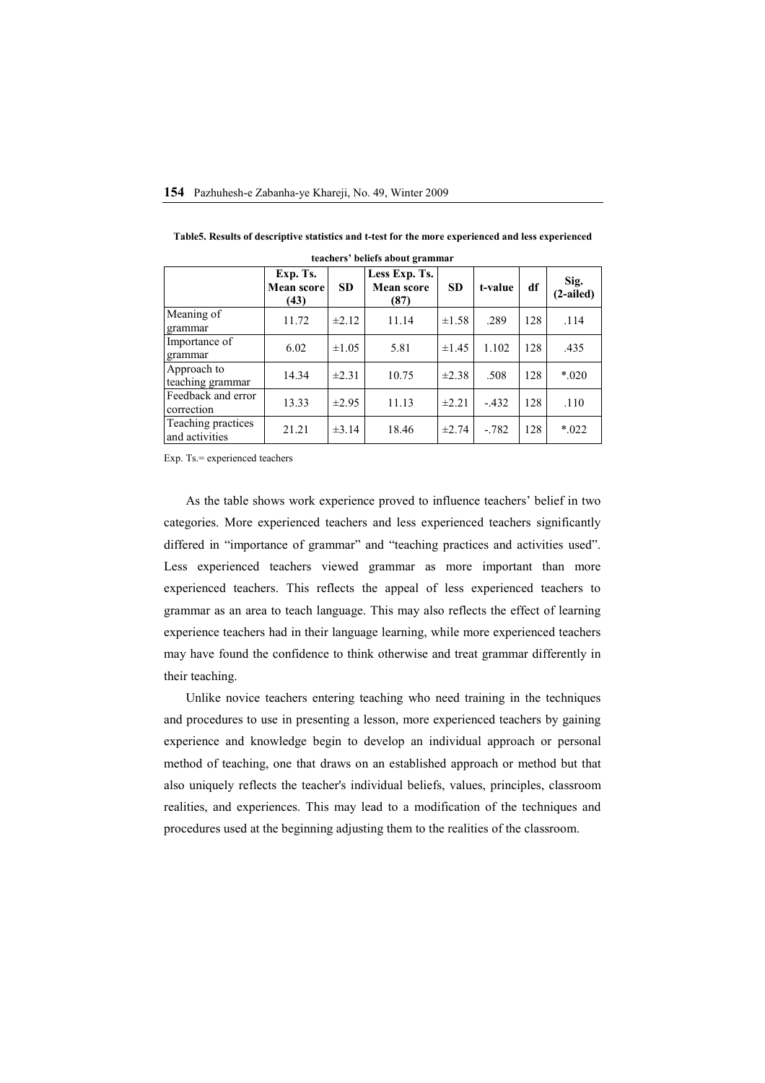| teachers' beliefs about grammar      |                                       |            |                                            |            |         |     |                     |  |  |
|--------------------------------------|---------------------------------------|------------|--------------------------------------------|------------|---------|-----|---------------------|--|--|
|                                      | Exp. Ts.<br><b>Mean score</b><br>(43) | <b>SD</b>  | Less Exp. Ts.<br><b>Mean score</b><br>(87) | <b>SD</b>  | t-value | df  | Sig.<br>$(2-ailed)$ |  |  |
| Meaning of<br>grammar                | 11.72                                 | $\pm 2.12$ | 11.14                                      | $\pm 1.58$ | .289    | 128 | .114                |  |  |
| Importance of<br>grammar             | 6.02                                  | $\pm 1.05$ | 5.81                                       | $\pm 1.45$ | 1.102   | 128 | .435                |  |  |
| Approach to<br>teaching grammar      | 14.34                                 | $\pm 2.31$ | 10.75                                      | $\pm 2.38$ | .508    | 128 | $*020$              |  |  |
| Feedback and error<br>correction     | 13.33                                 | $\pm 2.95$ | 11.13                                      | $\pm 2.21$ | $-.432$ | 128 | .110                |  |  |
| Teaching practices<br>and activities | 21.21                                 | $\pm 3.14$ | 18.46                                      | $\pm 2.74$ | $-.782$ | 128 | $*022$              |  |  |

**Table5. Results of descriptive statistics and t-test for the more experienced and less experienced** 

Exp. Ts.= experienced teachers

As the table shows work experience proved to influence teachers' belief in two categories. More experienced teachers and less experienced teachers significantly differed in "importance of grammar" and "teaching practices and activities used". Less experienced teachers viewed grammar as more important than more experienced teachers. This reflects the appeal of less experienced teachers to grammar as an area to teach language. This may also reflects the effect of learning experience teachers had in their language learning, while more experienced teachers may have found the confidence to think otherwise and treat grammar differently in their teaching.

Unlike novice teachers entering teaching who need training in the techniques and procedures to use in presenting a lesson, more experienced teachers by gaining experience and knowledge begin to develop an individual approach or personal method of teaching, one that draws on an established approach or method but that also uniquely reflects the teacher's individual beliefs, values, principles, classroom realities, and experiences. This may lead to a modification of the techniques and procedures used at the beginning adjusting them to the realities of the classroom.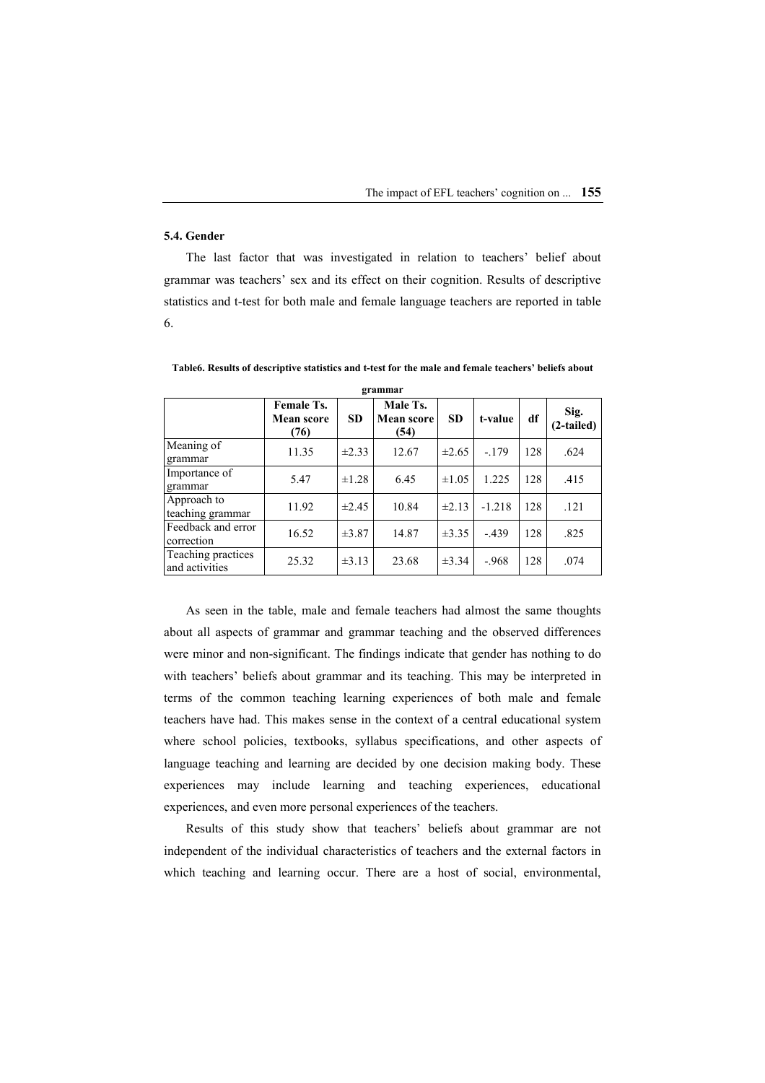# **5.4. Gender**

The last factor that was investigated in relation to teachers' belief about grammar was teachers' sex and its effect on their cognition. Results of descriptive statistics and t-test for both male and female language teachers are reported in table 6.

| grammar                              |                                  |            |                                |            |          |     |                    |  |
|--------------------------------------|----------------------------------|------------|--------------------------------|------------|----------|-----|--------------------|--|
|                                      | Female Ts.<br>Mean score<br>(76) | <b>SD</b>  | Male Ts.<br>Mean score<br>(54) | <b>SD</b>  | t-value  | df  | Sig.<br>(2-tailed) |  |
| Meaning of<br>grammar                | 11.35                            | $\pm 2.33$ | 12.67                          | $\pm 2.65$ | $-179$   | 128 | .624               |  |
| Importance of<br>grammar             | 5.47                             | $\pm 1.28$ | 6.45                           | $\pm 1.05$ | 1.225    | 128 | .415               |  |
| Approach to<br>teaching grammar      | 11.92                            | $\pm 2.45$ | 10.84                          | $\pm 2.13$ | $-1.218$ | 128 | .121               |  |
| Feedback and error<br>correction     | 16.52                            | $\pm 3.87$ | 14.87                          | $\pm 3.35$ | $-439$   | 128 | .825               |  |
| Teaching practices<br>and activities | 25.32                            | $\pm 3.13$ | 23.68                          | $\pm 3.34$ | $-968$   | 128 | .074               |  |

**Table6. Results of descriptive statistics and t-test for the male and female teachers' beliefs about** 

As seen in the table, male and female teachers had almost the same thoughts about all aspects of grammar and grammar teaching and the observed differences were minor and non-significant. The findings indicate that gender has nothing to do with teachers' beliefs about grammar and its teaching. This may be interpreted in terms of the common teaching learning experiences of both male and female teachers have had. This makes sense in the context of a central educational system where school policies, textbooks, syllabus specifications, and other aspects of language teaching and learning are decided by one decision making body. These experiences may include learning and teaching experiences, educational experiences, and even more personal experiences of the teachers.

Results of this study show that teachers' beliefs about grammar are not independent of the individual characteristics of teachers and the external factors in which teaching and learning occur. There are a host of social, environmental,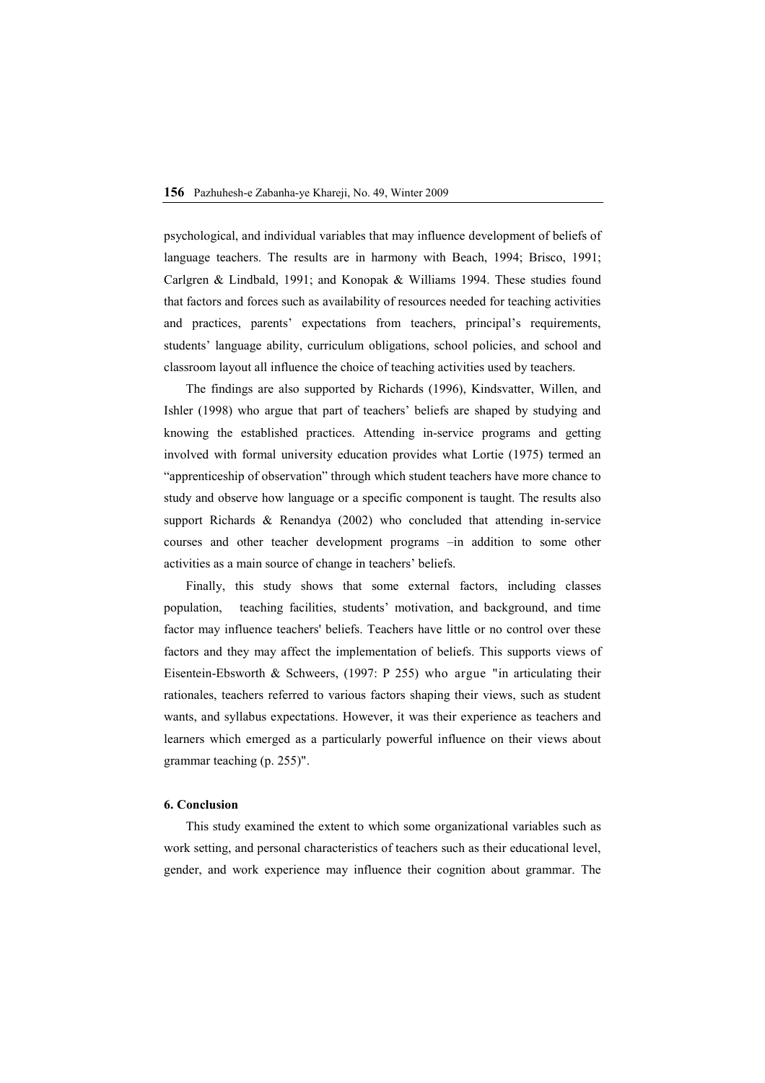psychological, and individual variables that may influence development of beliefs of language teachers. The results are in harmony with Beach, 1994; Brisco, 1991; Carlgren & Lindbald, 1991; and Konopak & Williams 1994. These studies found that factors and forces such as availability of resources needed for teaching activities and practices, parents' expectations from teachers, principal's requirements, students' language ability, curriculum obligations, school policies, and school and classroom layout all influence the choice of teaching activities used by teachers.

The findings are also supported by Richards (1996), Kindsvatter, Willen, and Ishler (1998) who argue that part of teachers' beliefs are shaped by studying and knowing the established practices. Attending in-service programs and getting involved with formal university education provides what Lortie (1975) termed an "apprenticeship of observation" through which student teachers have more chance to study and observe how language or a specific component is taught. The results also support Richards & Renandya (2002) who concluded that attending in-service courses and other teacher development programs –in addition to some other activities as a main source of change in teachers' beliefs.

Finally, this study shows that some external factors, including classes population, teaching facilities, students' motivation, and background, and time factor may influence teachers' beliefs. Teachers have little or no control over these factors and they may affect the implementation of beliefs. This supports views of Eisentein-Ebsworth & Schweers, (1997: P 255) who argue "in articulating their rationales, teachers referred to various factors shaping their views, such as student wants, and syllabus expectations. However, it was their experience as teachers and learners which emerged as a particularly powerful influence on their views about grammar teaching (p. 255)".

#### **6. Conclusion**

This study examined the extent to which some organizational variables such as work setting, and personal characteristics of teachers such as their educational level, gender, and work experience may influence their cognition about grammar. The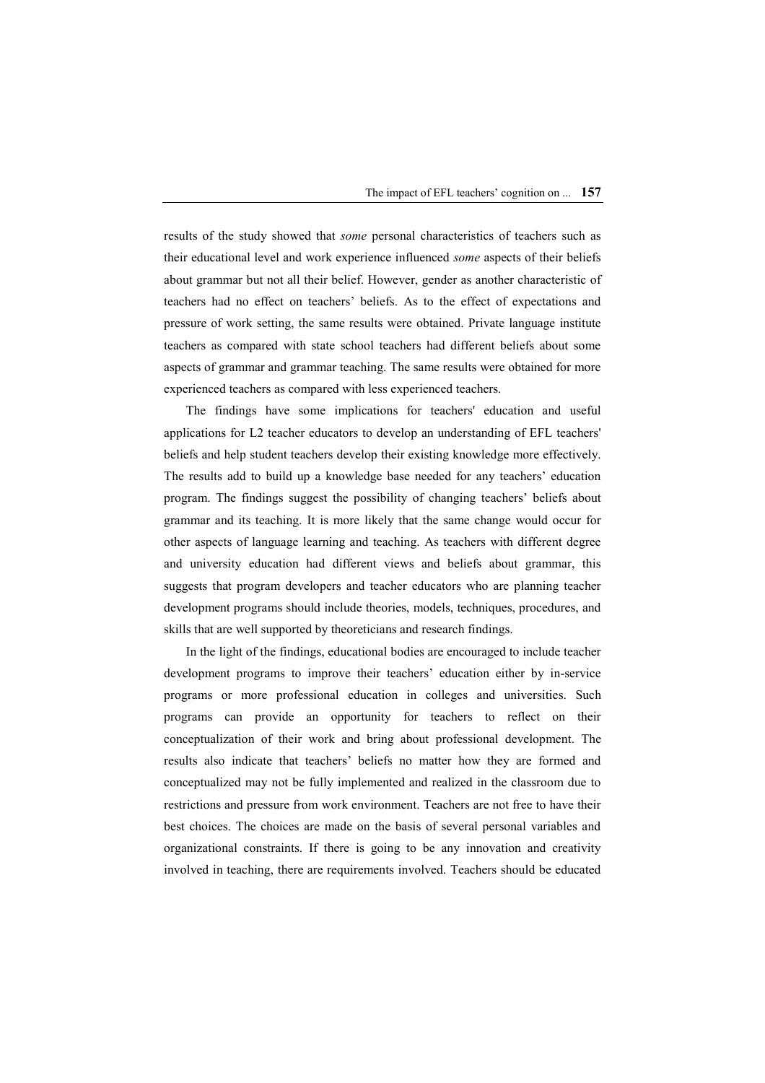results of the study showed that *some* personal characteristics of teachers such as their educational level and work experience influenced *some* aspects of their beliefs about grammar but not all their belief. However, gender as another characteristic of teachers had no effect on teachers' beliefs. As to the effect of expectations and pressure of work setting, the same results were obtained. Private language institute teachers as compared with state school teachers had different beliefs about some aspects of grammar and grammar teaching. The same results were obtained for more experienced teachers as compared with less experienced teachers.

The findings have some implications for teachers' education and useful applications for L2 teacher educators to develop an understanding of EFL teachers' beliefs and help student teachers develop their existing knowledge more effectively. The results add to build up a knowledge base needed for any teachers' education program. The findings suggest the possibility of changing teachers' beliefs about grammar and its teaching. It is more likely that the same change would occur for other aspects of language learning and teaching. As teachers with different degree and university education had different views and beliefs about grammar, this suggests that program developers and teacher educators who are planning teacher development programs should include theories, models, techniques, procedures, and skills that are well supported by theoreticians and research findings.

In the light of the findings, educational bodies are encouraged to include teacher development programs to improve their teachers' education either by in-service programs or more professional education in colleges and universities. Such programs can provide an opportunity for teachers to reflect on their conceptualization of their work and bring about professional development. The results also indicate that teachers' beliefs no matter how they are formed and conceptualized may not be fully implemented and realized in the classroom due to restrictions and pressure from work environment. Teachers are not free to have their best choices. The choices are made on the basis of several personal variables and organizational constraints. If there is going to be any innovation and creativity involved in teaching, there are requirements involved. Teachers should be educated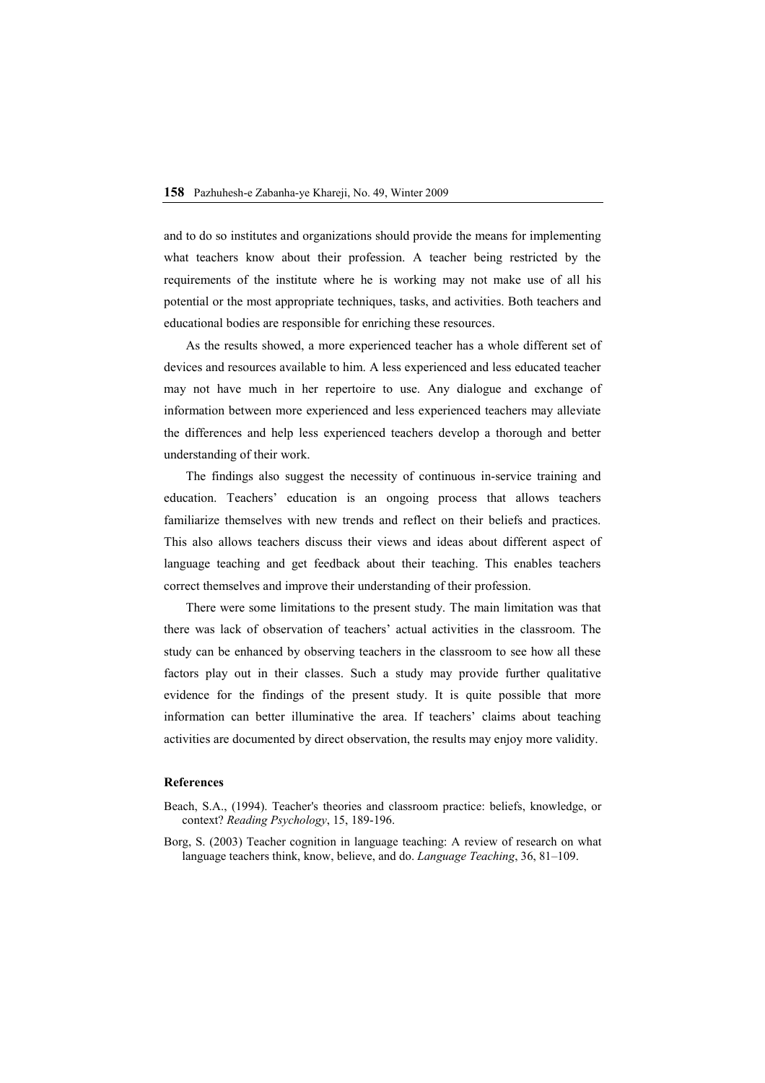and to do so institutes and organizations should provide the means for implementing what teachers know about their profession. A teacher being restricted by the requirements of the institute where he is working may not make use of all his potential or the most appropriate techniques, tasks, and activities. Both teachers and educational bodies are responsible for enriching these resources.

As the results showed, a more experienced teacher has a whole different set of devices and resources available to him. A less experienced and less educated teacher may not have much in her repertoire to use. Any dialogue and exchange of information between more experienced and less experienced teachers may alleviate the differences and help less experienced teachers develop a thorough and better understanding of their work.

The findings also suggest the necessity of continuous in-service training and education. Teachers' education is an ongoing process that allows teachers familiarize themselves with new trends and reflect on their beliefs and practices. This also allows teachers discuss their views and ideas about different aspect of language teaching and get feedback about their teaching. This enables teachers correct themselves and improve their understanding of their profession.

There were some limitations to the present study. The main limitation was that there was lack of observation of teachers' actual activities in the classroom. The study can be enhanced by observing teachers in the classroom to see how all these factors play out in their classes. Such a study may provide further qualitative evidence for the findings of the present study. It is quite possible that more information can better illuminative the area. If teachers' claims about teaching activities are documented by direct observation, the results may enjoy more validity.

#### **References**

- Beach, S.A., (1994). Teacher's theories and classroom practice: beliefs, knowledge, or context? *Reading Psychology*, 15, 189-196.
- Borg, S. (2003) Teacher cognition in language teaching: A review of research on what language teachers think, know, believe, and do. *Language Teaching*, 36, 81–109.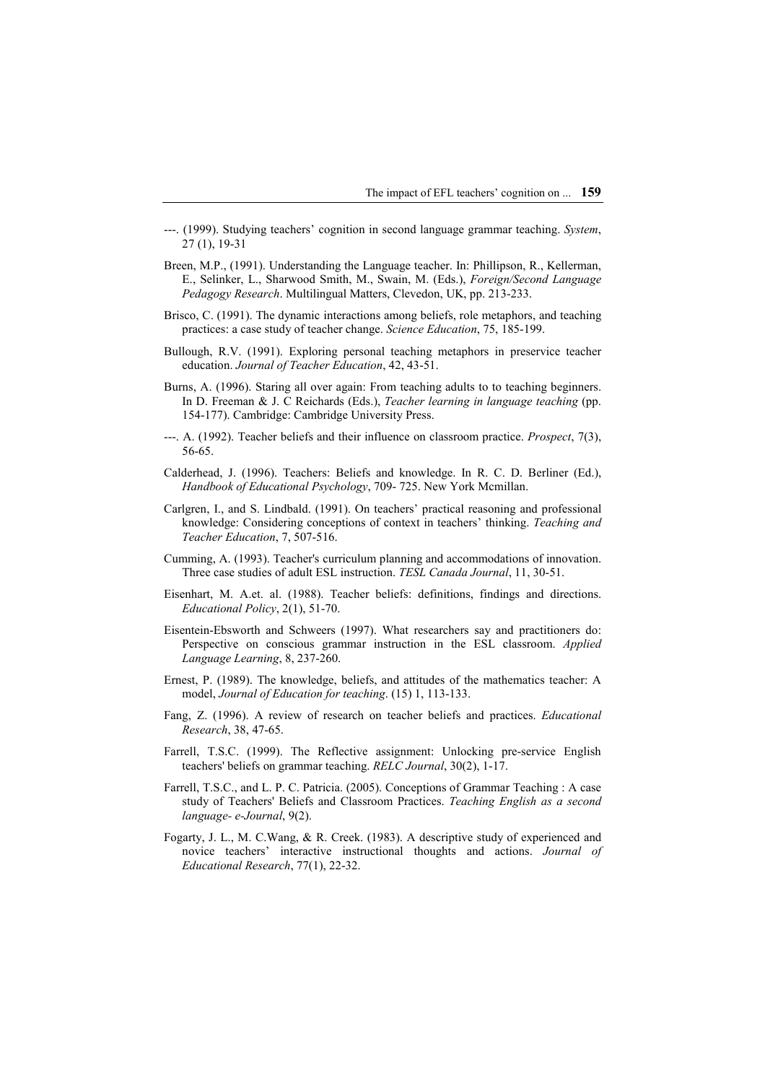- ---. (1999). Studying teachers' cognition in second language grammar teaching. *System*, 27 (1), 19-31
- Breen, M.P., (1991). Understanding the Language teacher. In: Phillipson, R., Kellerman, E., Selinker, L., Sharwood Smith, M., Swain, M. (Eds.), *Foreign/Second Language Pedagogy Research*. Multilingual Matters, Clevedon, UK, pp. 213-233.
- Brisco, C. (1991). The dynamic interactions among beliefs, role metaphors, and teaching practices: a case study of teacher change. *Science Education*, 75, 185-199.
- Bullough, R.V. (1991). Exploring personal teaching metaphors in preservice teacher education. *Journal of Teacher Education*, 42, 43-51.
- Burns, A. (1996). Staring all over again: From teaching adults to to teaching beginners. In D. Freeman & J. C Reichards (Eds.), *Teacher learning in language teaching* (pp. 154-177). Cambridge: Cambridge University Press.
- ---. A. (1992). Teacher beliefs and their influence on classroom practice. *Prospect*, 7(3), 56-65.
- Calderhead, J. (1996). Teachers: Beliefs and knowledge. In R. C. D. Berliner (Ed.), *Handbook of Educational Psychology*, 709- 725. New York Mcmillan.
- Carlgren, I., and S. Lindbald. (1991). On teachers' practical reasoning and professional knowledge: Considering conceptions of context in teachers' thinking. *Teaching and Teacher Education*, 7, 507-516.
- Cumming, A. (1993). Teacher's curriculum planning and accommodations of innovation. Three case studies of adult ESL instruction. *TESL Canada Journal*, 11, 30-51.
- Eisenhart, M. A.et. al. (1988). Teacher beliefs: definitions, findings and directions. *Educational Policy*, 2(1), 51-70.
- Eisentein-Ebsworth and Schweers (1997). What researchers say and practitioners do: Perspective on conscious grammar instruction in the ESL classroom. *Applied Language Learning*, 8, 237-260.
- Ernest, P. (1989). The knowledge, beliefs, and attitudes of the mathematics teacher: A model, *Journal of Education for teaching*. (15) 1, 113-133.
- Fang, Z. (1996). A review of research on teacher beliefs and practices. *Educational Research*, 38, 47-65.
- Farrell, T.S.C. (1999). The Reflective assignment: Unlocking pre-service English teachers' beliefs on grammar teaching. *RELC Journal*, 30(2), 1-17.
- Farrell, T.S.C., and L. P. C. Patricia. (2005). Conceptions of Grammar Teaching : A case study of Teachers' Beliefs and Classroom Practices. *Teaching English as a second language- e-Journal*, 9(2).
- Fogarty, J. L., M. C.Wang, & R. Creek. (1983). A descriptive study of experienced and novice teachers' interactive instructional thoughts and actions. *Journal of Educational Research*, 77(1), 22-32.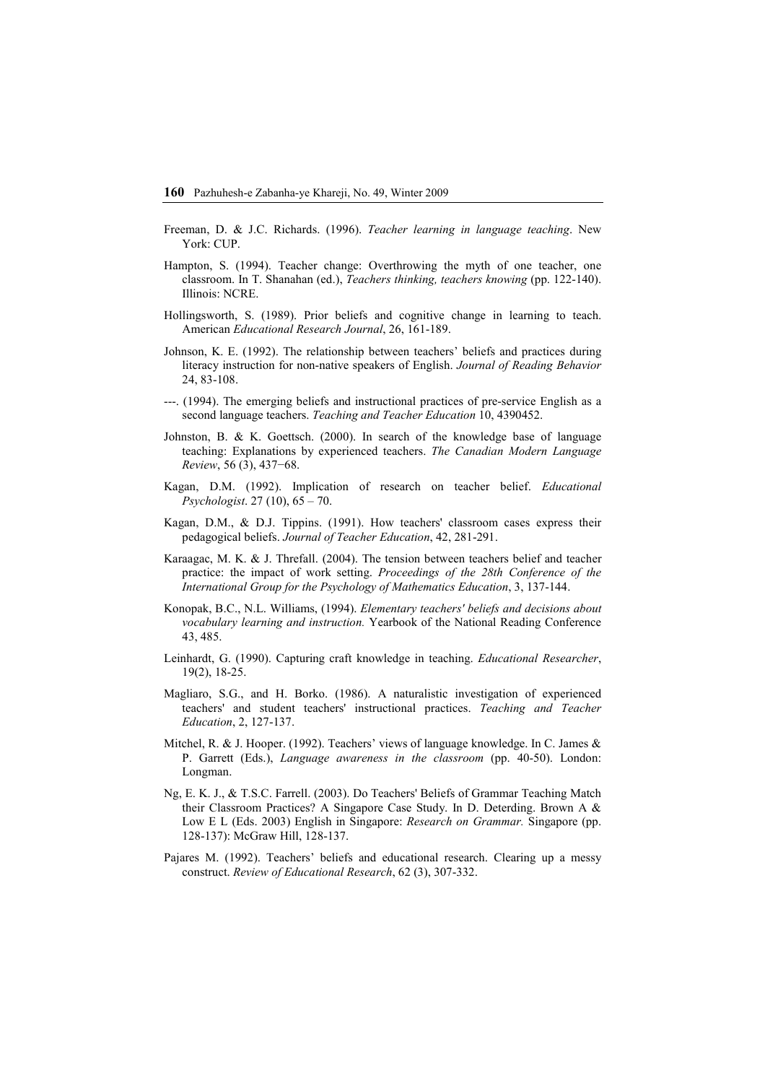- Freeman, D. & J.C. Richards. (1996). *Teacher learning in language teaching*. New York: CUP.
- Hampton, S. (1994). Teacher change: Overthrowing the myth of one teacher, one classroom. In T. Shanahan (ed.), *Teachers thinking, teachers knowing* (pp. 122-140). Illinois: NCRE.
- Hollingsworth, S. (1989). Prior beliefs and cognitive change in learning to teach. American *Educational Research Journal*, 26, 161-189.
- Johnson, K. E. (1992). The relationship between teachers' beliefs and practices during literacy instruction for non-native speakers of English. *Journal of Reading Behavior* 24, 83-108.
- ---. (1994). The emerging beliefs and instructional practices of pre-service English as a second language teachers. *Teaching and Teacher Education* 10, 4390452.
- Johnston, B. & K. Goettsch. (2000). In search of the knowledge base of language teaching: Explanations by experienced teachers. *The Canadian Modern Language Review*, 56 (3), 437−68.
- Kagan, D.M. (1992). Implication of research on teacher belief. *Educational Psychologist*. 27 (10), 65 – 70.
- Kagan, D.M., & D.J. Tippins. (1991). How teachers' classroom cases express their pedagogical beliefs. *Journal of Teacher Education*, 42, 281-291.
- Karaagac, M. K. & J. Threfall. (2004). The tension between teachers belief and teacher practice: the impact of work setting. *Proceedings of the 28th Conference of the International Group for the Psychology of Mathematics Education*, 3, 137-144.
- Konopak, B.C., N.L. Williams, (1994). *Elementary teachers' beliefs and decisions about vocabulary learning and instruction.* Yearbook of the National Reading Conference 43, 485.
- Leinhardt, G. (1990). Capturing craft knowledge in teaching. *Educational Researcher*, 19(2), 18-25.
- Magliaro, S.G., and H. Borko. (1986). A naturalistic investigation of experienced teachers' and student teachers' instructional practices. *Teaching and Teacher Education*, 2, 127-137.
- Mitchel, R. & J. Hooper. (1992). Teachers' views of language knowledge. In C. James & P. Garrett (Eds.), *Language awareness in the classroom* (pp. 40-50). London: Longman.
- Ng, E. K. J., & T.S.C. Farrell. (2003). Do Teachers' Beliefs of Grammar Teaching Match their Classroom Practices? A Singapore Case Study. In D. Deterding. Brown A & Low E L (Eds. 2003) English in Singapore: *Research on Grammar.* Singapore (pp. 128-137): McGraw Hill, 128-137.
- Pajares M. (1992). Teachers' beliefs and educational research. Clearing up a messy construct. *Review of Educational Research*, 62 (3), 307-332.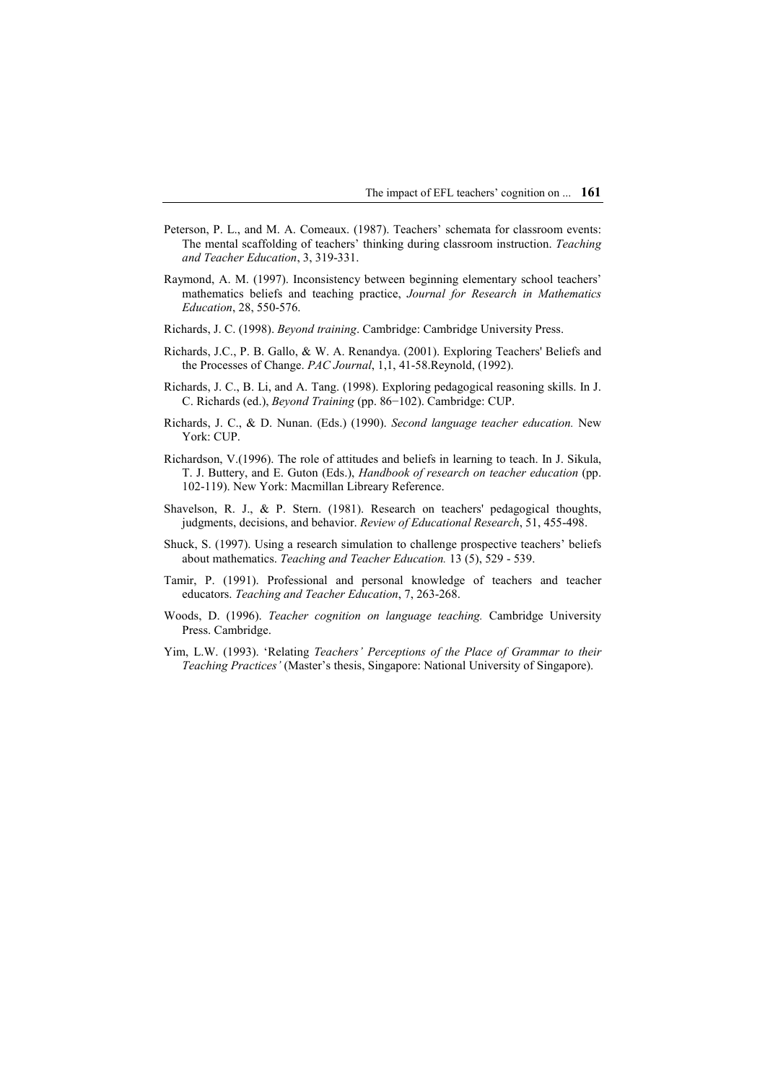- Peterson, P. L., and M. A. Comeaux. (1987). Teachers' schemata for classroom events: The mental scaffolding of teachers' thinking during classroom instruction. *Teaching and Teacher Education*, 3, 319-331.
- Raymond, A. M. (1997). Inconsistency between beginning elementary school teachers' mathematics beliefs and teaching practice, *Journal for Research in Mathematics Education*, 28, 550-576.
- Richards, J. C. (1998). *Beyond training*. Cambridge: Cambridge University Press.
- Richards, J.C., P. B. Gallo, & W. A. Renandya. (2001). Exploring Teachers' Beliefs and the Processes of Change. *PAC Journal*, 1,1, 41-58.Reynold, (1992).
- Richards, J. C., B. Li, and A. Tang. (1998). Exploring pedagogical reasoning skills. In J. C. Richards (ed.), *Beyond Training* (pp. 86−102). Cambridge: CUP.
- Richards, J. C., & D. Nunan. (Eds.) (1990). *Second language teacher education.* New York: CUP.
- Richardson, V.(1996). The role of attitudes and beliefs in learning to teach. In J. Sikula, T. J. Buttery, and E. Guton (Eds.), *Handbook of research on teacher education* (pp. 102-119). New York: Macmillan Libreary Reference.
- Shavelson, R. J., & P. Stern. (1981). Research on teachers' pedagogical thoughts, judgments, decisions, and behavior. *Review of Educational Research*, 51, 455-498.
- Shuck, S. (1997). Using a research simulation to challenge prospective teachers' beliefs about mathematics. *Teaching and Teacher Education.* 13 (5), 529 - 539.
- Tamir, P. (1991). Professional and personal knowledge of teachers and teacher educators. *Teaching and Teacher Education*, 7, 263-268.
- Woods, D. (1996). *Teacher cognition on language teaching.* Cambridge University Press. Cambridge.
- Yim, L.W. (1993). 'Relating *Teachers' Perceptions of the Place of Grammar to their Teaching Practices'* (Master's thesis, Singapore: National University of Singapore).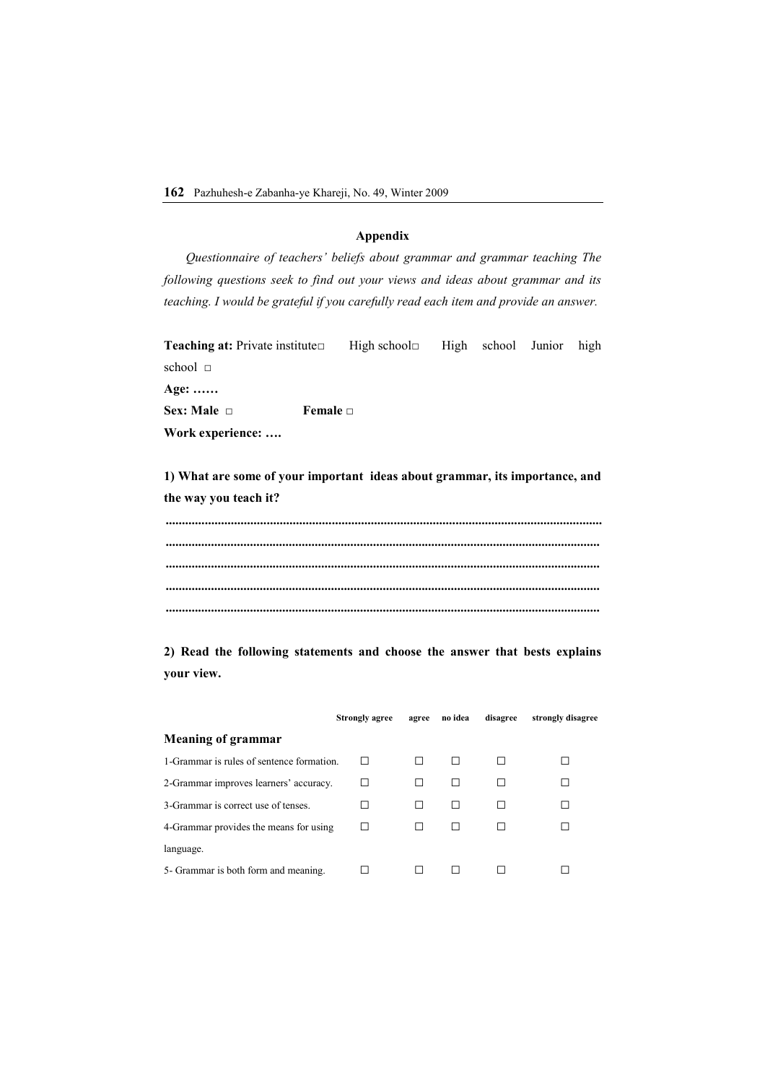# **Appendix**

*Questionnaire of teachers' beliefs about grammar and grammar teaching The following questions seek to find out your views and ideas about grammar and its teaching. I would be grateful if you carefully read each item and provide an answer.* 

**Teaching at:** Private institute□ High school□ High school Junior high school □

**Age: …… Sex: Male □ Female □ Work experience: ….** 

**1) What are some of your important ideas about grammar, its importance, and the way you teach it?** 

**...................................................................................................................................... ...................................................................................................................................... ...................................................................................................................................... ...................................................................................................................................... ......................................................................................................................................** 

**2) Read the following statements and choose the answer that bests explains your view.** 

|                                           | <b>Strongly agree</b> | agree | no idea | disagree | strongly disagree |
|-------------------------------------------|-----------------------|-------|---------|----------|-------------------|
| <b>Meaning of grammar</b>                 |                       |       |         |          |                   |
| 1-Grammar is rules of sentence formation. |                       |       |         |          |                   |
| 2-Grammar improves learners' accuracy.    |                       |       |         |          |                   |
| 3-Grammar is correct use of tenses.       |                       |       |         |          |                   |
| 4-Grammar provides the means for using    |                       |       |         |          |                   |
| language.                                 |                       |       |         |          |                   |
| 5- Grammar is both form and meaning.      |                       |       |         |          |                   |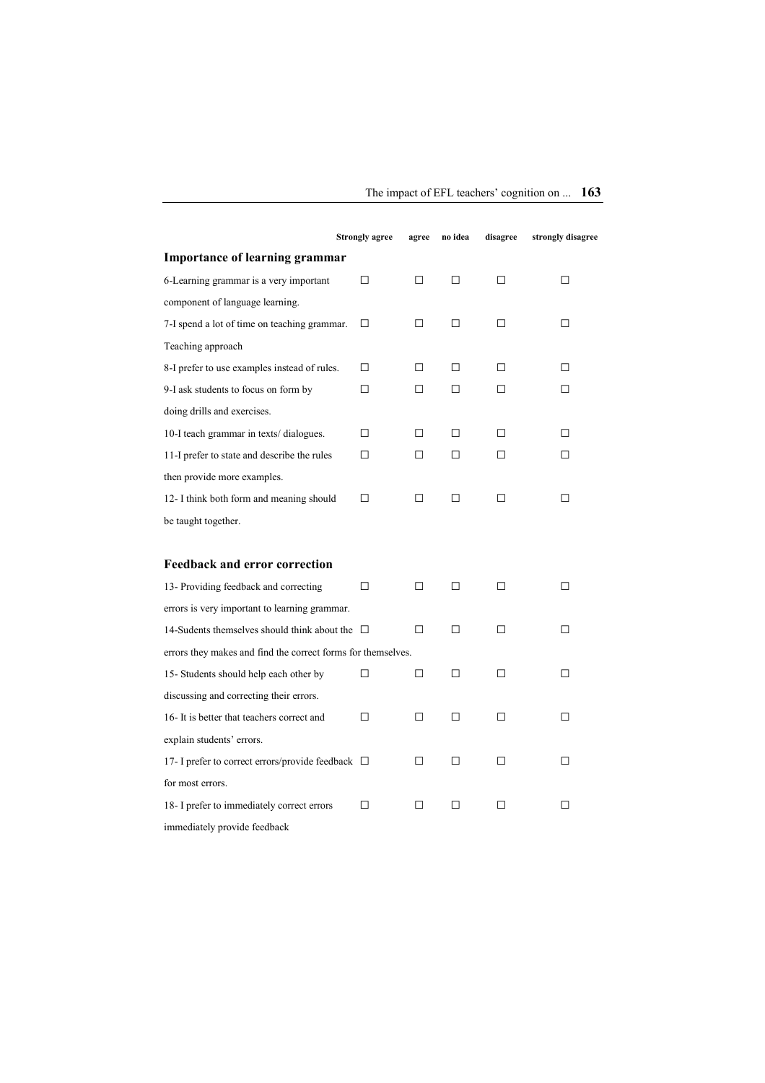|                                                              | <b>Strongly agree</b> | agree  | no idea | disagree | strongly disagree |
|--------------------------------------------------------------|-----------------------|--------|---------|----------|-------------------|
| <b>Importance of learning grammar</b>                        |                       |        |         |          |                   |
| 6-Learning grammar is a very important                       | П                     | $\Box$ | □       | П        | □                 |
| component of language learning.                              |                       |        |         |          |                   |
| 7-I spend a lot of time on teaching grammar.                 | П                     | □      | П       | П        | п                 |
| Teaching approach                                            |                       |        |         |          |                   |
| 8-I prefer to use examples instead of rules.                 | П                     | $\Box$ | П       | П        | П.                |
| 9-I ask students to focus on form by                         | П                     | □      | П       | П        | П                 |
| doing drills and exercises.                                  |                       |        |         |          |                   |
| 10-I teach grammar in texts/dialogues.                       | П                     | □      | □       | П        | П                 |
| 11-I prefer to state and describe the rules                  | П                     | $\Box$ | П       | П        | п                 |
| then provide more examples.                                  |                       |        |         |          |                   |
| 12- I think both form and meaning should                     | П                     | $\Box$ | П       | П        | П                 |
| be taught together.                                          |                       |        |         |          |                   |
|                                                              |                       |        |         |          |                   |
| <b>Feedback and error correction</b>                         |                       |        |         |          |                   |
| 13- Providing feedback and correcting                        | П                     | $\Box$ | □       | П        | П                 |
| errors is very important to learning grammar.                |                       |        |         |          |                   |
| 14-Sudents themselves should think about the $\Box$          |                       | П      | П       | П        | п                 |
| errors they makes and find the correct forms for themselves. |                       |        |         |          |                   |
| 15- Students should help each other by                       | п                     | П      | П       | П        | П                 |
| discussing and correcting their errors.                      |                       |        |         |          |                   |
| 16- It is better that teachers correct and                   | п                     | $\Box$ | П       | П        | п                 |
| explain students' errors.                                    |                       |        |         |          |                   |
| 17- I prefer to correct errors/provide feedback $\Box$       |                       | □      | ⊓       | п        | п                 |
| for most errors.                                             |                       |        |         |          |                   |
| 18- I prefer to immediately correct errors                   | П                     | □      | П       | П        | П                 |
| immediately provide feedback                                 |                       |        |         |          |                   |